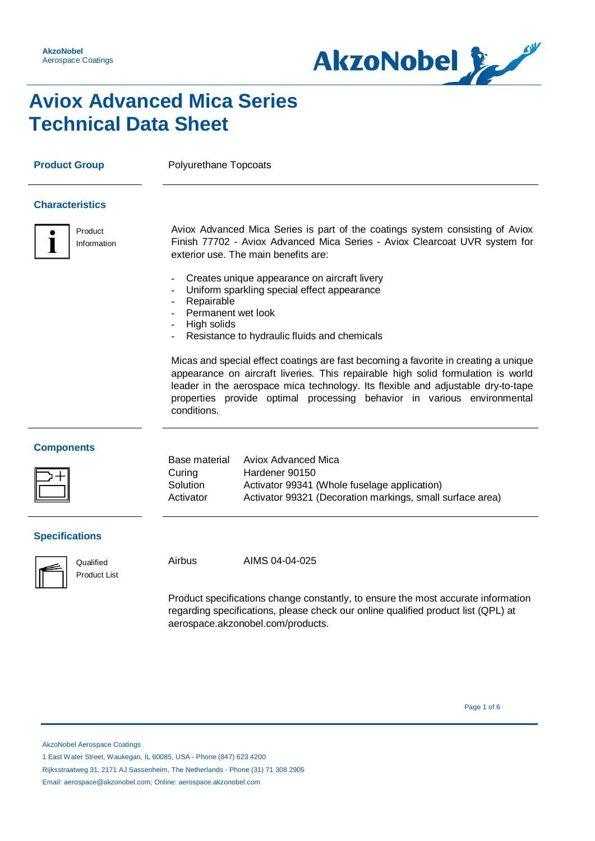

### **Aviox Advanced Mica Series Technical Data Sheet**

**Product Group** Polyurethane Topcoats

### **Characteristics**



Aviox Advanced Mica Series is part of the coatings system consisting of Aviox Finish 77702 - Aviox Advanced Mica Series - Aviox Clearcoat UVR system for exterior use. The main benefits are:

- Creates unique appearance on aircraft livery
- Uniform sparkling special effect appearance
- **Repairable**
- Permanent wet look
- High solids
- Resistance to hydraulic fluids and chemicals

Micas and special effect coatings are fast becoming a favorite in creating a unique appearance on aircraft liveries. This repairable high solid formulation is world leader in the aerospace mica technology. Its flexible and adjustable dry-to-tape properties provide optimal processing behavior in various environmental conditions.

#### **Components**

|                       | Base material | Aviox Advanced Mica                                       |
|-----------------------|---------------|-----------------------------------------------------------|
|                       | Curing        | Hardener 90150                                            |
| $\boxed{\phantom{1}}$ | Solution      | Activator 99341 (Whole fuselage application)              |
|                       | Activator     | Activator 99321 (Decoration markings, small surface area) |
|                       |               |                                                           |

### **Specifications**



Product List

Qualified Airbus AIMS 04-04-025

Product specifications change constantly, to ensure the most accurate information regarding specifications, please check our online qualified product list (QPL) at aerospace.akzonobel.com/products.

Page 1 of 6  $\sim$  9  $\sim$  9  $\sim$  9  $\sim$  9  $\sim$  9  $\sim$  9  $\sim$  9  $\sim$  9  $\sim$  9  $\sim$  9  $\sim$  9  $\sim$  9  $\sim$  9  $\sim$  9  $\sim$  9  $\sim$  9  $\sim$  9  $\sim$  9  $\sim$  9  $\sim$  9  $\sim$  9  $\sim$  9  $\sim$  9  $\sim$  9  $\sim$  9  $\sim$  9  $\sim$  9  $\sim$  9  $\sim$  9  $\sim$  9

AkzoNobel Aerospace Coatings

1 East Water Street, Waukegan, IL 60085, USA - Phone (847) 623 4200

Rijksstraatweg 31, 2171 AJ Sassenheim, The Netherlands - Phone (31) 71 308 2905

Email: aerospace@akzonobel.com; Online: aerospace.akzonobel.com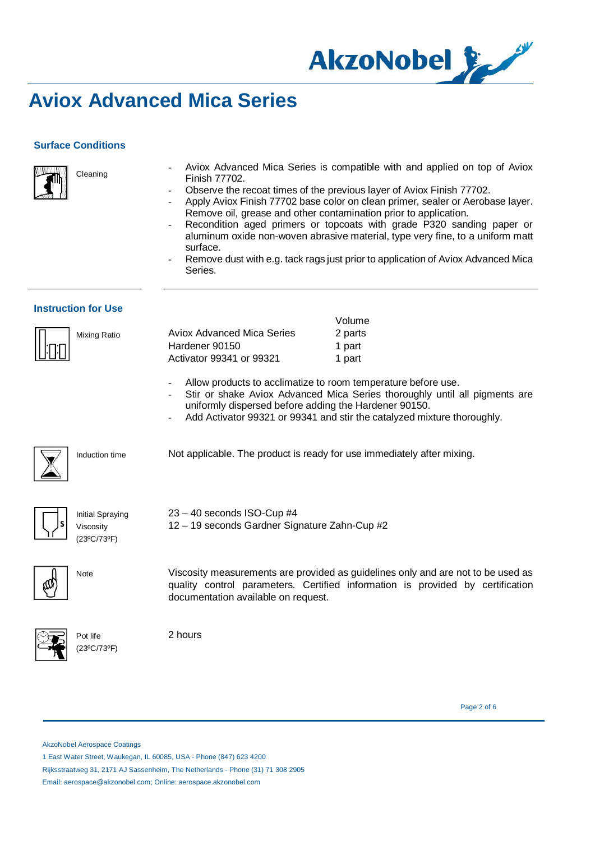

### **Surface Conditions**

Cleaning



- Aviox Advanced Mica Series is compatible with and applied on top of Aviox Finish 77702.

- Observe the recoat times of the previous layer of Aviox Finish 77702.
- Apply Aviox Finish 77702 base color on clean primer, sealer or Aerobase layer. Remove oil, grease and other contamination prior to application.
- Recondition aged primers or topcoats with grade P320 sanding paper or aluminum oxide non-woven abrasive material, type very fine, to a uniform matt surface.
- Remove dust with e.g. tack rags just prior to application of Aviox Advanced Mica Series.

 $V$ olume

#### **Instruction for Use**

|              |                            | <u>vuulite</u> |
|--------------|----------------------------|----------------|
| Mixing Ratio | Aviox Advanced Mica Series | 2 parts        |
|              | Hardener 90150             | 1 part         |
|              | Activator 99341 or 99321   | 1 part         |
|              |                            |                |

Allow products to acclimatize to room temperature before use.

- Stir or shake Aviox Advanced Mica Series thoroughly until all pigments are uniformly dispersed before adding the Hardener 90150.
- Add Activator 99321 or 99341 and stir the catalyzed mixture thoroughly.



Induction time Not applicable. The product is ready for use immediately after mixing.

|--|--|

Initial Spraying Viscosity (23ºC/73ºF)

23 – 40 seconds ISO-Cup #4 12 – 19 seconds Gardner Signature Zahn-Cup #2



Note Viscosity measurements are provided as guidelines only and are not to be used as quality control parameters. Certified information is provided by certification documentation available on request.



2 hours

Page 2 of 6

AkzoNobel Aerospace Coatings

Pot life (23ºC/73ºF)

1 East Water Street, Waukegan, IL 60085, USA - Phone (847) 623 4200

Email: aerospace@akzonobel.com; Online: aerospace.akzonobel.com

Rijksstraatweg 31, 2171 AJ Sassenheim, The Netherlands - Phone (31) 71 308 2905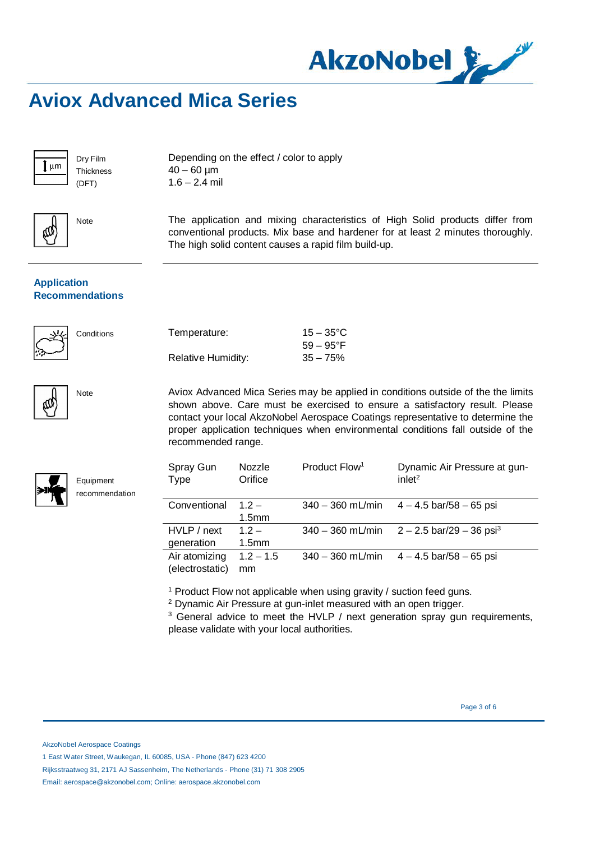

Dry Film **Thickness** (DFT)

Depending on the effect / color to apply  $40 - 60$  µm  $1.6 - 2.4$  mil



Note The application and mixing characteristics of High Solid products differ from conventional products. Mix base and hardener for at least 2 minutes thoroughly. The high solid content causes a rapid film build-up.

### **Application Recommendations**



Conditions Temperature:

|                           | $59 - 95^{\circ}$ F |
|---------------------------|---------------------|
| <b>Relative Humidity:</b> | $35 - 75%$          |

Note Aviox Advanced Mica Series may be applied in conditions outside of the the limits shown above. Care must be exercised to ensure a satisfactory result. Please contact your local AkzoNobel Aerospace Coatings representative to determine the proper application techniques when environmental conditions fall outside of the recommended range.

 $15 - 35^{\circ}$ C

| Equipment<br>recommendation |  |
|-----------------------------|--|
|                             |  |

| Spray Gun<br><b>Type</b>         | Nozzle<br>Orifice           | Product Flow <sup>1</sup> | Dynamic Air Pressure at gun-<br>inlet <sup>2</sup> |
|----------------------------------|-----------------------------|---------------------------|----------------------------------------------------|
| Conventional                     | $12 -$<br>1.5 <sub>mm</sub> | $340 - 360$ mL/min        | $4 - 4.5$ bar/58 $- 65$ psi                        |
| HVLP / next<br>generation        | $12 -$<br>1.5 <sub>mm</sub> | $340 - 360$ mL/min        | $2 - 2.5$ bar/29 – 36 psi <sup>3</sup>             |
| Air atomizing<br>(electrostatic) | $1.2 - 1.5$<br>mm           | $340 - 360$ mL/min        | $4 - 4.5$ bar/58 $- 65$ psi                        |

<sup>1</sup> Product Flow not applicable when using gravity / suction feed guns.

<sup>2</sup> Dynamic Air Pressure at gun-inlet measured with an open trigger.

<sup>3</sup> General advice to meet the HVLP / next generation spray gun requirements, please validate with your local authorities.

AkzoNobel Aerospace Coatings

1 East Water Street, Waukegan, IL 60085, USA - Phone (847) 623 4200

Email: aerospace@akzonobel.com; Online: aerospace.akzonobel.com

Rijksstraatweg 31, 2171 AJ Sassenheim, The Netherlands - Phone (31) 71 308 2905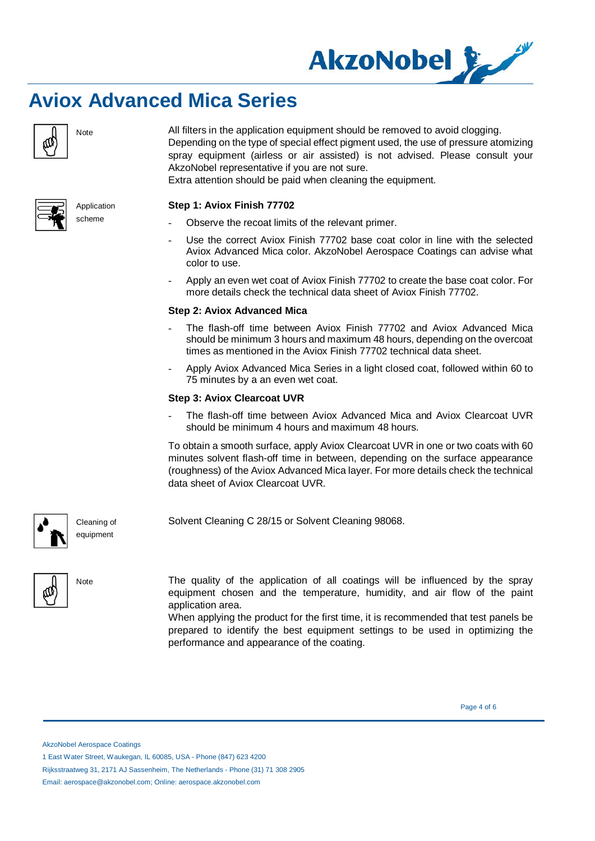



Note All filters in the application equipment should be removed to avoid clogging. Depending on the type of special effect pigment used, the use of pressure atomizing spray equipment (airless or air assisted) is not advised. Please consult your AkzoNobel representative if you are not sure.

Extra attention should be paid when cleaning the equipment.

#### **Step 1: Aviox Finish 77702**

Observe the recoat limits of the relevant primer.

Solvent Cleaning C 28/15 or Solvent Cleaning 98068.

- Use the correct Aviox Finish 77702 base coat color in line with the selected Aviox Advanced Mica color. AkzoNobel Aerospace Coatings can advise what color to use.
- Apply an even wet coat of Aviox Finish 77702 to create the base coat color. For more details check the technical data sheet of Aviox Finish 77702.

#### **Step 2: Aviox Advanced Mica**

- The flash-off time between Aviox Finish 77702 and Aviox Advanced Mica should be minimum 3 hours and maximum 48 hours, depending on the overcoat times as mentioned in the Aviox Finish 77702 technical data sheet.
- Apply Aviox Advanced Mica Series in a light closed coat, followed within 60 to 75 minutes by a an even wet coat.

#### **Step 3: Aviox Clearcoat UVR**

The flash-off time between Aviox Advanced Mica and Aviox Clearcoat UVR should be minimum 4 hours and maximum 48 hours.

To obtain a smooth surface, apply Aviox Clearcoat UVR in one or two coats with 60 minutes solvent flash-off time in between, depending on the surface appearance (roughness) of the Aviox Advanced Mica layer. For more details check the technical data sheet of Aviox Clearcoat UVR.



Cleaning of equipment



Note The quality of the application of all coatings will be influenced by the spray equipment chosen and the temperature, humidity, and air flow of the paint application area.

> When applying the product for the first time, it is recommended that test panels be prepared to identify the best equipment settings to be used in optimizing the performance and appearance of the coating.

Page 4 of 6

AkzoNobel Aerospace Coatings

1 East Water Street, Waukegan, IL 60085, USA - Phone (847) 623 4200



Rijksstraatweg 31, 2171 AJ Sassenheim, The Netherlands - Phone (31) 71 308 2905

Email: aerospace@akzonobel.com; Online: aerospace.akzonobel.com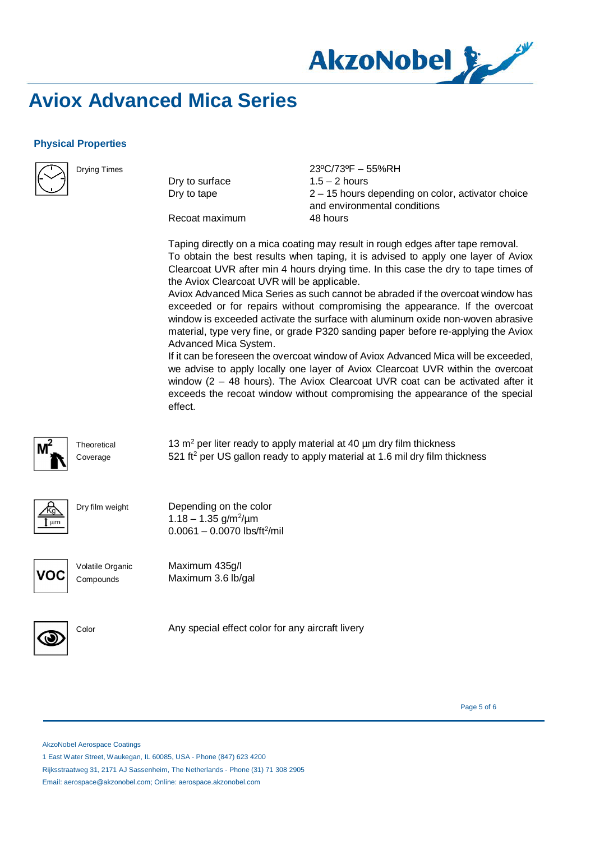

### **Physical Properties**



Drying Times

Dry to surface Dry to tape

23ºC/73ºF – 55%RH  $1.5 - 2$  hours 2 – 15 hours depending on color, activator choice and environmental conditions 48 hours

Recoat maximum

Taping directly on a mica coating may result in rough edges after tape removal. To obtain the best results when taping, it is advised to apply one layer of Aviox Clearcoat UVR after min 4 hours drying time. In this case the dry to tape times of the Aviox Clearcoat UVR will be applicable.

Aviox Advanced Mica Series as such cannot be abraded if the overcoat window has exceeded or for repairs without compromising the appearance. If the overcoat window is exceeded activate the surface with aluminum oxide non-woven abrasive material, type very fine, or grade P320 sanding paper before re-applying the Aviox Advanced Mica System.

If it can be foreseen the overcoat window of Aviox Advanced Mica will be exceeded, we advise to apply locally one layer of Aviox Clearcoat UVR within the overcoat window (2 – 48 hours). The Aviox Clearcoat UVR coat can be activated after it exceeds the recoat window without compromising the appearance of the special effect.

**Theoretical** Coverage

13  $\text{m}^2$  per liter ready to apply material at 40  $\mu$ m dry film thickness  $521$  ft<sup>2</sup> per US gallon ready to apply material at 1.6 mil dry film thickness



Dry film weight **Depending on the color** 

nr

Volatile Organic **Compounds** 

Maximum 435g/l Maximum 3.6 lb/gal

 $1.18 - 1.35$  g/m<sup>2</sup>/µm  $0.0061 - 0.0070$  lbs/ft<sup>2</sup>/mil



Color **Any special effect color for any aircraft livery** 

Page 5 of 6

AkzoNobel Aerospace Coatings

1 East Water Street, Waukegan, IL 60085, USA - Phone (847) 623 4200

Rijksstraatweg 31, 2171 AJ Sassenheim, The Netherlands - Phone (31) 71 308 2905

Email: aerospace@akzonobel.com; Online: aerospace.akzonobel.com